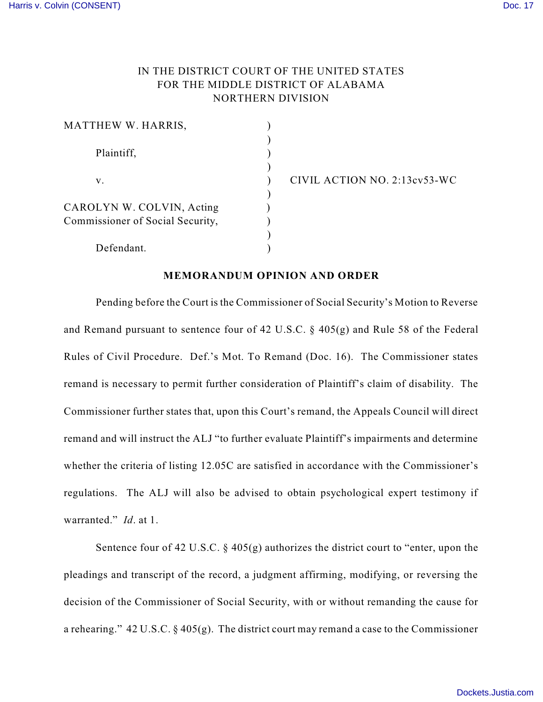## IN THE DISTRICT COURT OF THE UNITED STATES FOR THE MIDDLE DISTRICT OF ALABAMA NORTHERN DIVISION

| MATTHEW W. HARRIS,                                            |  |
|---------------------------------------------------------------|--|
| Plaintiff,                                                    |  |
| V.                                                            |  |
| CAROLYN W. COLVIN, Acting<br>Commissioner of Social Security, |  |
| Defendant.                                                    |  |

v. ) CIVIL ACTION NO. 2:13cv53-WC

## **MEMORANDUM OPINION AND ORDER**

Pending before the Court is the Commissioner of Social Security's Motion to Reverse and Remand pursuant to sentence four of 42 U.S.C. § 405(g) and Rule 58 of the Federal Rules of Civil Procedure. Def.'s Mot. To Remand (Doc. 16). The Commissioner states remand is necessary to permit further consideration of Plaintiff's claim of disability. The Commissioner further states that, upon this Court's remand, the Appeals Council will direct remand and will instruct the ALJ "to further evaluate Plaintiff's impairments and determine whether the criteria of listing 12.05C are satisfied in accordance with the Commissioner's regulations. The ALJ will also be advised to obtain psychological expert testimony if warranted." *Id*. at 1.

Sentence four of 42 U.S.C.  $\S$  405(g) authorizes the district court to "enter, upon the pleadings and transcript of the record, a judgment affirming, modifying, or reversing the decision of the Commissioner of Social Security, with or without remanding the cause for a rehearing." 42 U.S.C.  $\S$  405(g). The district court may remand a case to the Commissioner